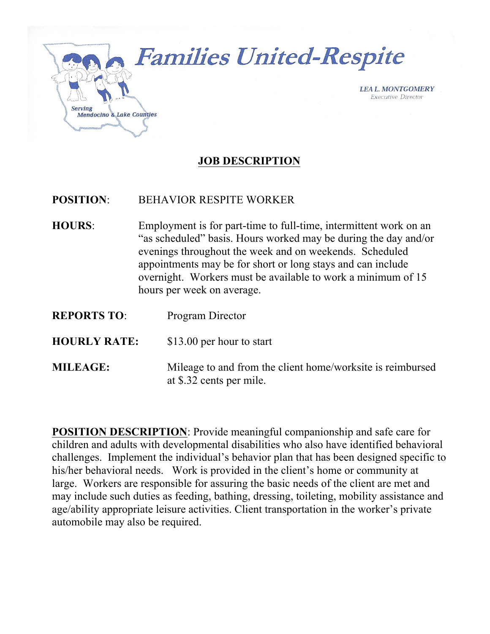

### **JOB DESCRIPTION**

#### **POSITION**: BEHAVIOR RESPITE WORKER

- **HOURS**: Employment is for part-time to full-time, intermittent work on an "as scheduled" basis. Hours worked may be during the day and/or evenings throughout the week and on weekends. Scheduled appointments may be for short or long stays and can include overnight. Workers must be available to work a minimum of 15 hours per week on average.
- **REPORTS TO**: Program Director
- **HOURLY RATE:** \$13.00 per hour to start
- **MILEAGE:** Mileage to and from the client home/worksite is reimbursed at \$.32 cents per mile.

**POSITION DESCRIPTION**: Provide meaningful companionship and safe care for children and adults with developmental disabilities who also have identified behavioral challenges. Implement the individual's behavior plan that has been designed specific to his/her behavioral needs. Work is provided in the client's home or community at large. Workers are responsible for assuring the basic needs of the client are met and may include such duties as feeding, bathing, dressing, toileting, mobility assistance and age/ability appropriate leisure activities. Client transportation in the worker's private automobile may also be required.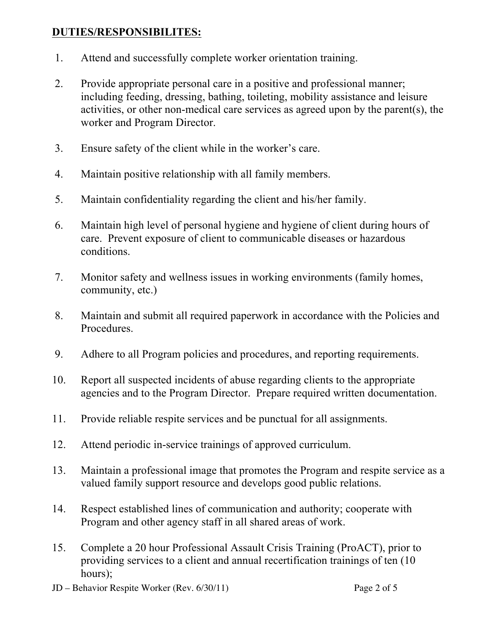#### **DUTIES/RESPONSIBILITES:**

- 1. Attend and successfully complete worker orientation training.
- 2. Provide appropriate personal care in a positive and professional manner; including feeding, dressing, bathing, toileting, mobility assistance and leisure activities, or other non-medical care services as agreed upon by the parent(s), the worker and Program Director.
- 3. Ensure safety of the client while in the worker's care.
- 4. Maintain positive relationship with all family members.
- 5. Maintain confidentiality regarding the client and his/her family.
- 6. Maintain high level of personal hygiene and hygiene of client during hours of care. Prevent exposure of client to communicable diseases or hazardous conditions.
- 7. Monitor safety and wellness issues in working environments (family homes, community, etc.)
- 8. Maintain and submit all required paperwork in accordance with the Policies and Procedures.
- 9. Adhere to all Program policies and procedures, and reporting requirements.
- 10. Report all suspected incidents of abuse regarding clients to the appropriate agencies and to the Program Director. Prepare required written documentation.
- 11. Provide reliable respite services and be punctual for all assignments.
- 12. Attend periodic in-service trainings of approved curriculum.
- 13. Maintain a professional image that promotes the Program and respite service as a valued family support resource and develops good public relations.
- 14. Respect established lines of communication and authority; cooperate with Program and other agency staff in all shared areas of work.
- 15. Complete a 20 hour Professional Assault Crisis Training (ProACT), prior to providing services to a client and annual recertification trainings of ten (10 hours);
- JD Behavior Respite Worker (Rev. 6/30/11) Page 2 of 5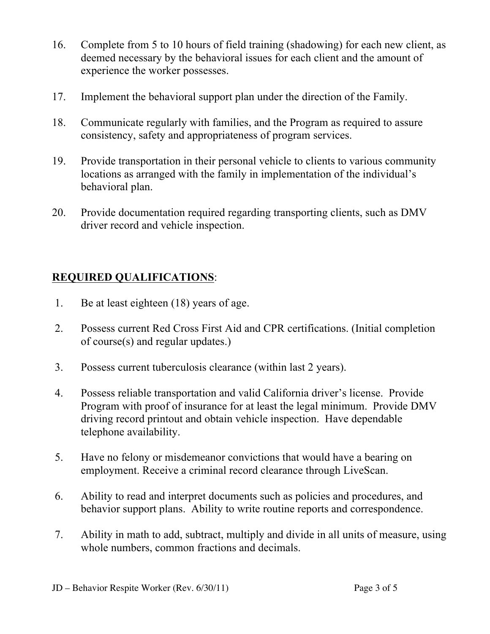- 16. Complete from 5 to 10 hours of field training (shadowing) for each new client, as deemed necessary by the behavioral issues for each client and the amount of experience the worker possesses.
- 17. Implement the behavioral support plan under the direction of the Family.
- 18. Communicate regularly with families, and the Program as required to assure consistency, safety and appropriateness of program services.
- 19. Provide transportation in their personal vehicle to clients to various community locations as arranged with the family in implementation of the individual's behavioral plan.
- 20. Provide documentation required regarding transporting clients, such as DMV driver record and vehicle inspection.

## **REQUIRED QUALIFICATIONS**:

- 1. Be at least eighteen (18) years of age.
- 2. Possess current Red Cross First Aid and CPR certifications. (Initial completion of course(s) and regular updates.)
- 3. Possess current tuberculosis clearance (within last 2 years).
- 4. Possess reliable transportation and valid California driver's license. Provide Program with proof of insurance for at least the legal minimum. Provide DMV driving record printout and obtain vehicle inspection. Have dependable telephone availability.
- 5. Have no felony or misdemeanor convictions that would have a bearing on employment. Receive a criminal record clearance through LiveScan.
- 6. Ability to read and interpret documents such as policies and procedures, and behavior support plans. Ability to write routine reports and correspondence.
- 7. Ability in math to add, subtract, multiply and divide in all units of measure, using whole numbers, common fractions and decimals.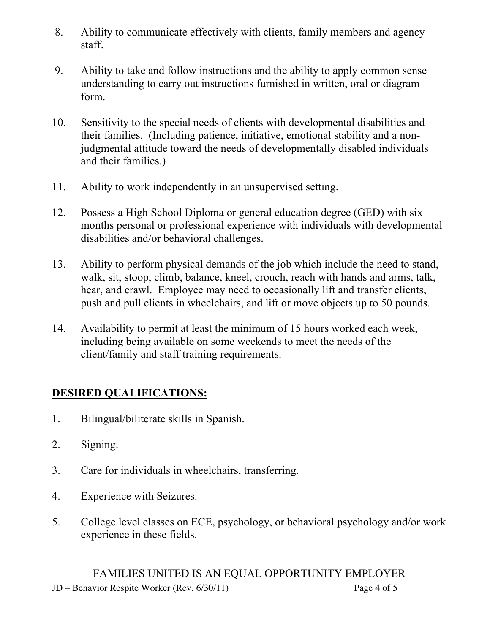- 8. Ability to communicate effectively with clients, family members and agency staff.
- 9. Ability to take and follow instructions and the ability to apply common sense understanding to carry out instructions furnished in written, oral or diagram form.
- 10. Sensitivity to the special needs of clients with developmental disabilities and their families. (Including patience, initiative, emotional stability and a nonjudgmental attitude toward the needs of developmentally disabled individuals and their families.)
- 11. Ability to work independently in an unsupervised setting.
- 12. Possess a High School Diploma or general education degree (GED) with six months personal or professional experience with individuals with developmental disabilities and/or behavioral challenges.
- 13. Ability to perform physical demands of the job which include the need to stand, walk, sit, stoop, climb, balance, kneel, crouch, reach with hands and arms, talk, hear, and crawl. Employee may need to occasionally lift and transfer clients, push and pull clients in wheelchairs, and lift or move objects up to 50 pounds.
- 14. Availability to permit at least the minimum of 15 hours worked each week, including being available on some weekends to meet the needs of the client/family and staff training requirements.

# **DESIRED QUALIFICATIONS:**

- 1. Bilingual/biliterate skills in Spanish.
- 2. Signing.
- 3. Care for individuals in wheelchairs, transferring.
- 4. Experience with Seizures.
- 5. College level classes on ECE, psychology, or behavioral psychology and/or work experience in these fields.

JD – Behavior Respite Worker (Rev. 6/30/11) Page 4 of 5 FAMILIES UNITED IS AN EQUAL OPPORTUNITY EMPLOYER